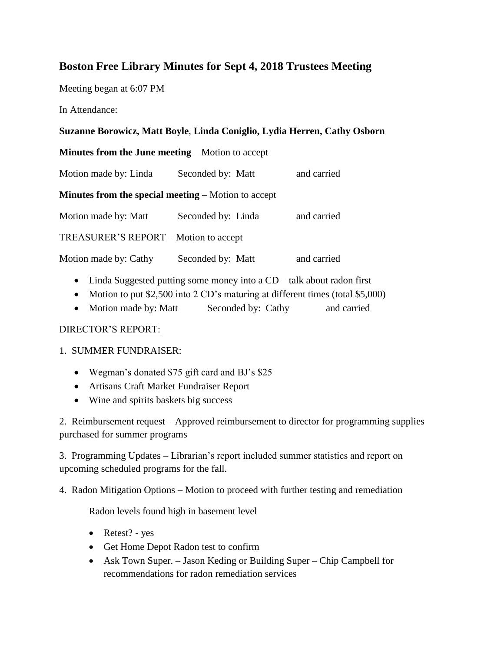# **Boston Free Library Minutes for Sept 4, 2018 Trustees Meeting**

Meeting began at 6:07 PM

In Attendance:

### **Suzanne Borowicz, Matt Boyle**, **Linda Coniglio, Lydia Herren, Cathy Osborn**

**Minutes from the June meeting** – Motion to accept

Motion made by: Linda Seconded by: Matt and carried

**Minutes from the special meeting** – Motion to accept

Motion made by: Matt Seconded by: Linda and carried

TREASURER'S REPORT – Motion to accept

Motion made by: Cathy Seconded by: Matt and carried

- Linda Suggested putting some money into a CD talk about radon first
- Motion to put \$2,500 into 2 CD's maturing at different times (total \$5,000)
- Motion made by: Matt Seconded by: Cathy and carried

#### DIRECTOR'S REPORT:

#### 1. SUMMER FUNDRAISER:

- Wegman's donated \$75 gift card and BJ's \$25
- Artisans Craft Market Fundraiser Report
- Wine and spirits baskets big success

2. Reimbursement request – Approved reimbursement to director for programming supplies purchased for summer programs

3. Programming Updates – Librarian's report included summer statistics and report on upcoming scheduled programs for the fall.

4. Radon Mitigation Options – Motion to proceed with further testing and remediation

Radon levels found high in basement level

- Retest? yes
- Get Home Depot Radon test to confirm
- Ask Town Super. Jason Keding or Building Super Chip Campbell for recommendations for radon remediation services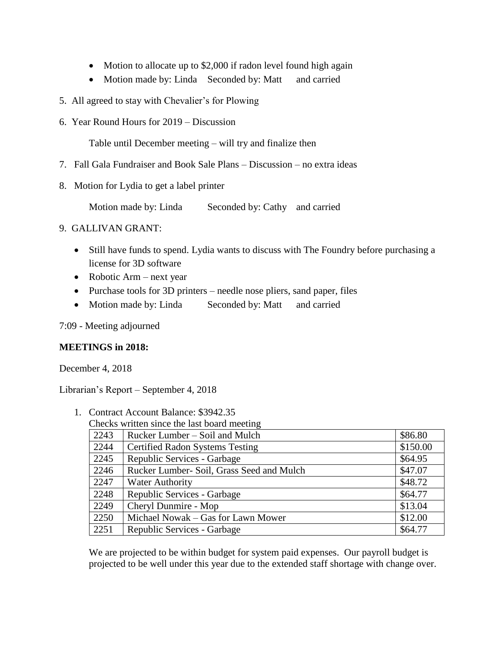- Motion to allocate up to \$2,000 if radon level found high again
- Motion made by: Linda Seconded by: Matt and carried
- 5. All agreed to stay with Chevalier's for Plowing
- 6. Year Round Hours for 2019 Discussion

Table until December meeting – will try and finalize then

- 7. Fall Gala Fundraiser and Book Sale Plans Discussion no extra ideas
- 8. Motion for Lydia to get a label printer

Motion made by: Linda Seconded by: Cathy and carried

## 9. GALLIVAN GRANT:

- Still have funds to spend. Lydia wants to discuss with The Foundry before purchasing a license for 3D software
- Robotic Arm next year
- Purchase tools for 3D printers needle nose pliers, sand paper, files
- Motion made by: Linda Seconded by: Matt and carried

7:09 - Meeting adjourned

#### **MEETINGS in 2018:**

December 4, 2018

Librarian's Report – September 4, 2018

| Checks written since the last board meeting |                                           |          |
|---------------------------------------------|-------------------------------------------|----------|
| 2243                                        | Rucker Lumber – Soil and Mulch            | \$86.80  |
| 2244                                        | <b>Certified Radon Systems Testing</b>    | \$150.00 |
| 2245                                        | Republic Services - Garbage               | \$64.95  |
| 2246                                        | Rucker Lumber- Soil, Grass Seed and Mulch | \$47.07  |
| 2247                                        | <b>Water Authority</b>                    | \$48.72  |
| 2248                                        | Republic Services - Garbage               | \$64.77  |
| 2249                                        | Cheryl Dunmire - Mop                      | \$13.04  |
| 2250                                        | Michael Nowak – Gas for Lawn Mower        | \$12.00  |
| 2251                                        | Republic Services - Garbage               | \$64.77  |

1. Contract Account Balance: \$3942.35 Checks written since the last board meeting

We are projected to be within budget for system paid expenses. Our payroll budget is projected to be well under this year due to the extended staff shortage with change over.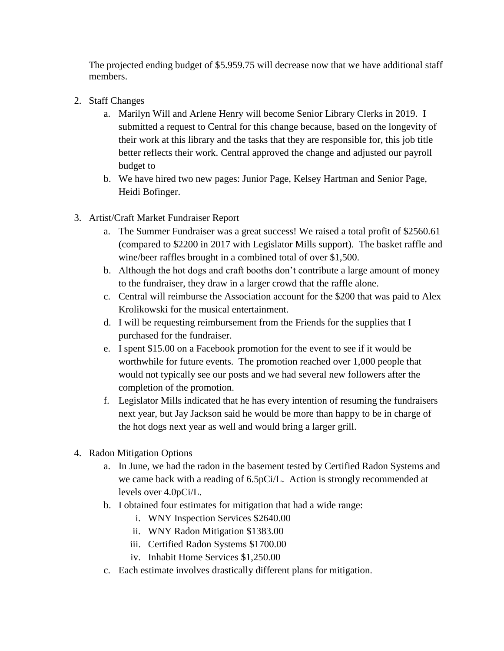The projected ending budget of \$5.959.75 will decrease now that we have additional staff members.

- 2. Staff Changes
	- a. Marilyn Will and Arlene Henry will become Senior Library Clerks in 2019. I submitted a request to Central for this change because, based on the longevity of their work at this library and the tasks that they are responsible for, this job title better reflects their work. Central approved the change and adjusted our payroll budget to
	- b. We have hired two new pages: Junior Page, Kelsey Hartman and Senior Page, Heidi Bofinger.
- 3. Artist/Craft Market Fundraiser Report
	- a. The Summer Fundraiser was a great success! We raised a total profit of \$2560.61 (compared to \$2200 in 2017 with Legislator Mills support). The basket raffle and wine/beer raffles brought in a combined total of over \$1,500.
	- b. Although the hot dogs and craft booths don't contribute a large amount of money to the fundraiser, they draw in a larger crowd that the raffle alone.
	- c. Central will reimburse the Association account for the \$200 that was paid to Alex Krolikowski for the musical entertainment.
	- d. I will be requesting reimbursement from the Friends for the supplies that I purchased for the fundraiser.
	- e. I spent \$15.00 on a Facebook promotion for the event to see if it would be worthwhile for future events. The promotion reached over 1,000 people that would not typically see our posts and we had several new followers after the completion of the promotion.
	- f. Legislator Mills indicated that he has every intention of resuming the fundraisers next year, but Jay Jackson said he would be more than happy to be in charge of the hot dogs next year as well and would bring a larger grill.
- 4. Radon Mitigation Options
	- a. In June, we had the radon in the basement tested by Certified Radon Systems and we came back with a reading of 6.5pCi/L. Action is strongly recommended at levels over 4.0pCi/L.
	- b. I obtained four estimates for mitigation that had a wide range:
		- i. WNY Inspection Services \$2640.00
		- ii. WNY Radon Mitigation \$1383.00
		- iii. Certified Radon Systems \$1700.00
		- iv. Inhabit Home Services \$1,250.00
	- c. Each estimate involves drastically different plans for mitigation.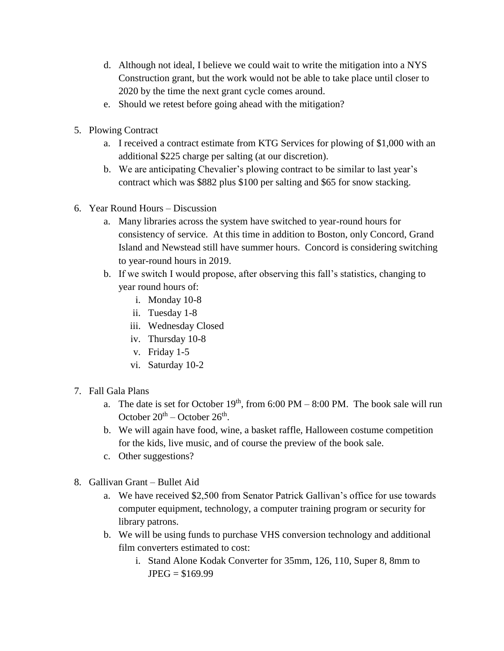- d. Although not ideal, I believe we could wait to write the mitigation into a NYS Construction grant, but the work would not be able to take place until closer to 2020 by the time the next grant cycle comes around.
- e. Should we retest before going ahead with the mitigation?
- 5. Plowing Contract
	- a. I received a contract estimate from KTG Services for plowing of \$1,000 with an additional \$225 charge per salting (at our discretion).
	- b. We are anticipating Chevalier's plowing contract to be similar to last year's contract which was \$882 plus \$100 per salting and \$65 for snow stacking.
- 6. Year Round Hours Discussion
	- a. Many libraries across the system have switched to year-round hours for consistency of service. At this time in addition to Boston, only Concord, Grand Island and Newstead still have summer hours. Concord is considering switching to year-round hours in 2019.
	- b. If we switch I would propose, after observing this fall's statistics, changing to year round hours of:
		- i. Monday 10-8
		- ii. Tuesday 1-8
		- iii. Wednesday Closed
		- iv. Thursday 10-8
		- v. Friday 1-5
		- vi. Saturday 10-2
- 7. Fall Gala Plans
	- a. The date is set for October  $19<sup>th</sup>$ , from 6:00 PM 8:00 PM. The book sale will run October  $20^{th}$  – October  $26^{th}$ .
	- b. We will again have food, wine, a basket raffle, Halloween costume competition for the kids, live music, and of course the preview of the book sale.
	- c. Other suggestions?
- 8. Gallivan Grant Bullet Aid
	- a. We have received \$2,500 from Senator Patrick Gallivan's office for use towards computer equipment, technology, a computer training program or security for library patrons.
	- b. We will be using funds to purchase VHS conversion technology and additional film converters estimated to cost:
		- i. Stand Alone Kodak Converter for 35mm, 126, 110, Super 8, 8mm to  $JPEG = $169.99$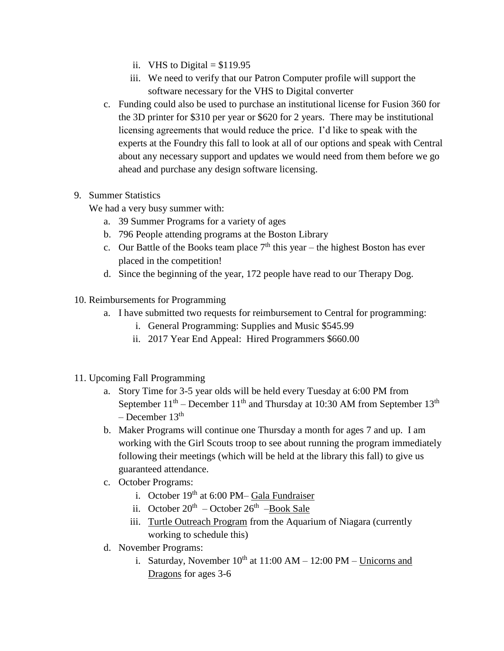- ii. VHS to Digital  $= $119.95$
- iii. We need to verify that our Patron Computer profile will support the software necessary for the VHS to Digital converter
- c. Funding could also be used to purchase an institutional license for Fusion 360 for the 3D printer for \$310 per year or \$620 for 2 years. There may be institutional licensing agreements that would reduce the price. I'd like to speak with the experts at the Foundry this fall to look at all of our options and speak with Central about any necessary support and updates we would need from them before we go ahead and purchase any design software licensing.
- 9. Summer Statistics

We had a very busy summer with:

- a. 39 Summer Programs for a variety of ages
- b. 796 People attending programs at the Boston Library
- c. Our Battle of the Books team place  $7<sup>th</sup>$  this year the highest Boston has ever placed in the competition!
- d. Since the beginning of the year, 172 people have read to our Therapy Dog.
- 10. Reimbursements for Programming
	- a. I have submitted two requests for reimbursement to Central for programming:
		- i. General Programming: Supplies and Music \$545.99
		- ii. 2017 Year End Appeal: Hired Programmers \$660.00
- 11. Upcoming Fall Programming
	- a. Story Time for 3-5 year olds will be held every Tuesday at 6:00 PM from September  $11<sup>th</sup>$  – December  $11<sup>th</sup>$  and Thursday at 10:30 AM from September  $13<sup>th</sup>$  $-$  December 13<sup>th</sup>
	- b. Maker Programs will continue one Thursday a month for ages 7 and up. I am working with the Girl Scouts troop to see about running the program immediately following their meetings (which will be held at the library this fall) to give us guaranteed attendance.
	- c. October Programs:
		- i. October  $19<sup>th</sup>$  at 6:00 PM– Gala Fundraiser
		- ii. October 20<sup>th</sup> October 26<sup>th</sup> Book Sale
		- iii. Turtle Outreach Program from the Aquarium of Niagara (currently working to schedule this)
	- d. November Programs:
		- i. Saturday, November  $10^{th}$  at  $11:00$  AM  $12:00$  PM Unicorns and Dragons for ages 3-6